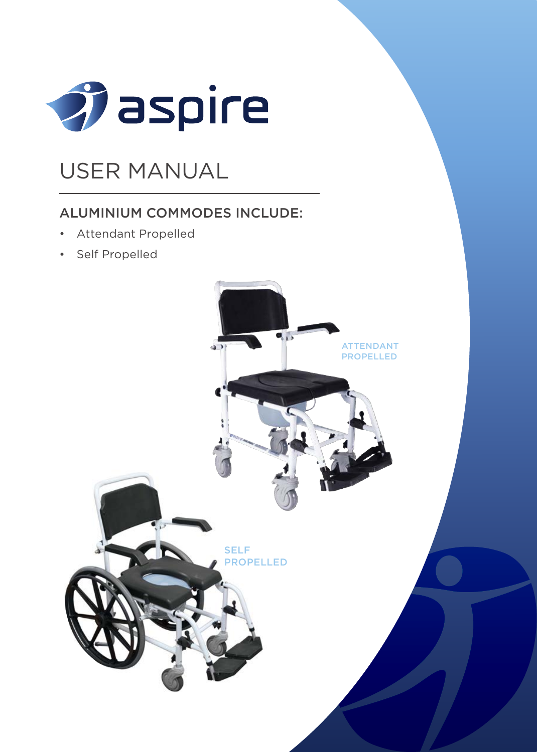

## USER MANUAL

### ALUMINIUM COMMODES INCLUDE:

- Attendant Propelled
- Self Propelled

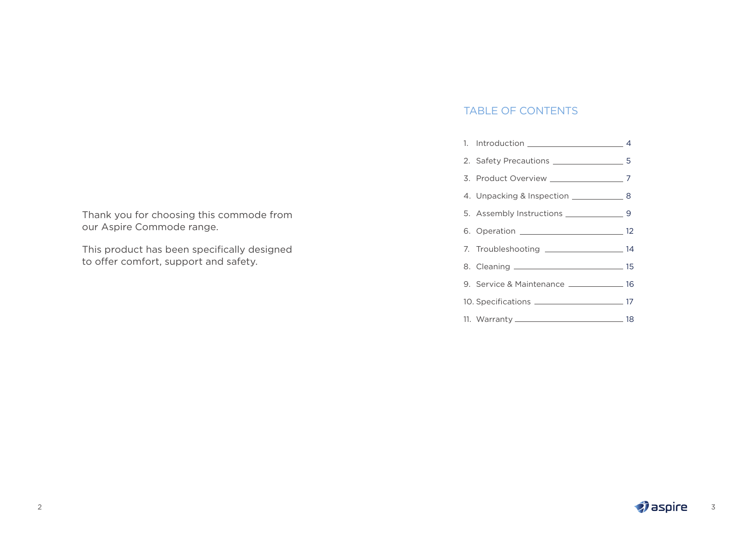TABLE OF CONTENTS

|  | 9. Service & Maintenance _______________ 16 |  |
|--|---------------------------------------------|--|
|  |                                             |  |
|  |                                             |  |
|  |                                             |  |

Thank you for choosing this commode from our Aspire Commode range.

This product has been specifically designed to offer comfort, support and safety.

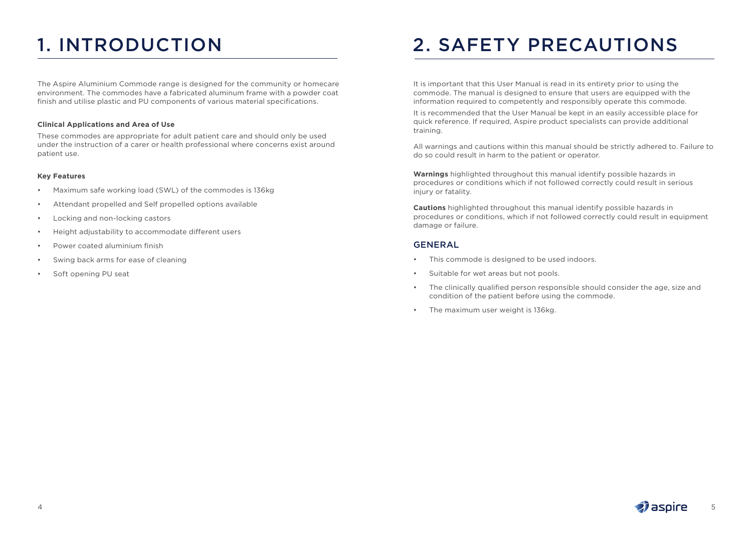The Aspire Aluminium Commode range is designed for the community or homecare environment. The commodes have a fabricated aluminum frame with a powder coat finish and utilise plastic and PU components of various material specifications.

#### **Clinical Applications and Area of Use**

These commodes are appropriate for adult patient care and should only be used under the instruction of a carer or health professional where concerns exist around patient use.

#### **Key Features**

- Maximum safe working load (SWL) of the commodes is 136kg
- Attendant propelled and Self propelled options available
- Locking and non-locking castors
- Height adjustability to accommodate different users
- Power coated aluminium finish
- Swing back arms for ease of cleaning
- Soft opening PU seat

# 1. INTRODUCTION 2. SAFETY PRECAUTIONS

It is important that this User Manual is read in its entirety prior to using the commode. The manual is designed to ensure that users are equipped with the information required to competently and responsibly operate this commode.

It is recommended that the User Manual be kept in an easily accessible place for quick reference. If required, Aspire product specialists can provide additional training.

All warnings and cautions within this manual should be strictly adhered to. Failure to do so could result in harm to the patient or operator.

**Warnings** highlighted throughout this manual identify possible hazards in procedures or conditions which if not followed correctly could result in serious injury or fatality.

**Cautions** highlighted throughout this manual identify possible hazards in procedures or conditions, which if not followed correctly could result in equipment damage or failure.

### GENERAL

- This commode is designed to be used indoors.
- Suitable for wet areas but not pools.
- The clinically qualified person responsible should consider the age, size and condition of the patient before using the commode.
- The maximum user weight is 136kg.

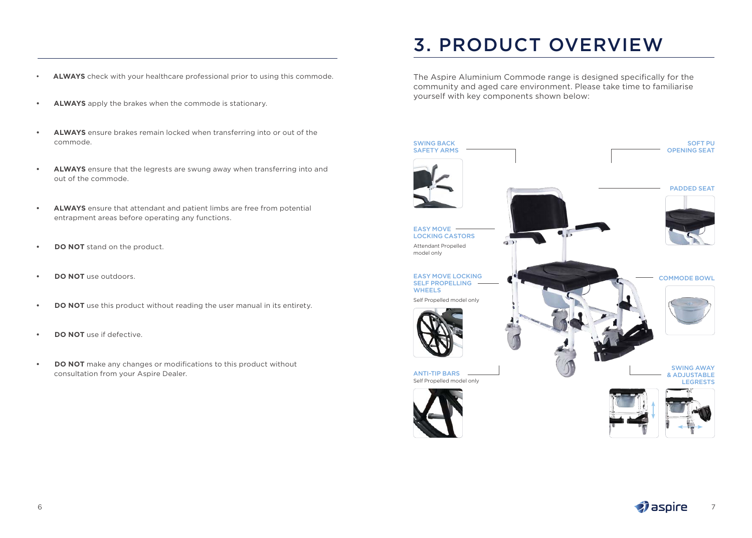- **ALWAYS** check with your healthcare professional prior to using this commode.
- **• ALWAYS** apply the brakes when the commode is stationary.
- **• ALWAYS** ensure brakes remain locked when transferring into or out of the commode.
- **• ALWAYS** ensure that the legrests are swung away when transferring into and out of the commode.
- **• ALWAYS** ensure that attendant and patient limbs are free from potential entrapment areas before operating any functions.
- **• DO NOT** stand on the product.
- **• DO NOT** use outdoors.
- **• DO NOT** use this product without reading the user manual in its entirety.
- **• DO NOT** use if defective.
- **• DO NOT** make any changes or modifications to this product without consultation from your Aspire Dealer.

# 3. PRODUCT OVERVIEW

The Aspire Aluminium Commode range is designed specifically for the community and aged care environment. Please take time to familiarise yourself with key components shown below:

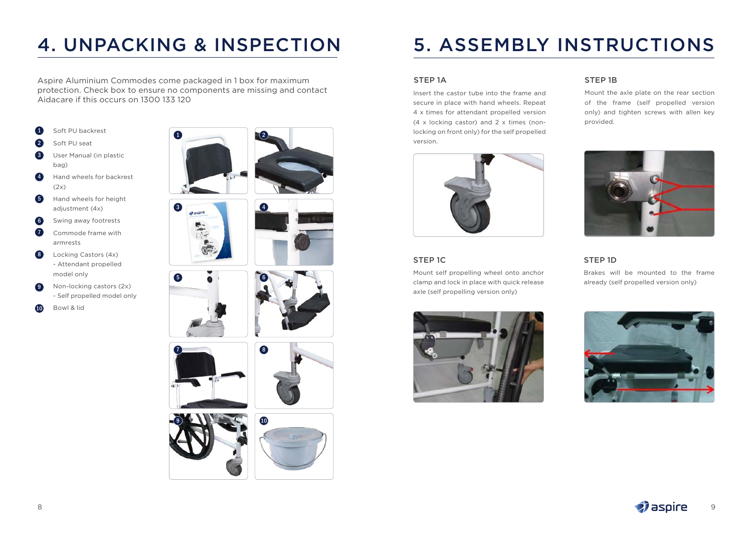# 4. UNPACKING & INSPECTION

Aspire Aluminium Commodes come packaged in 1 box for maximum protection. Check box to ensure no components are missing and contact Aidacare if this occurs on 1300 133 120

3

6

- Soft PU backrest  $\mathbf{a}$
- Soft PU seat  $\mathbf{Q}$
- User Manual (in plastic bag) 3
- Hand wheels for backrest  $(2x)$ 4
- Hand wheels for height adjustment (4x) 6
- Swing away footrests 6
- Commode frame with armrests  $\overline{a}$
- Locking Castors (4x) - Attendant propelled model only 8
- Non-locking castors (2x) - Self propelled model only **9**
- Bowl & lid 10















# 5. ASSEMBLY INSTRUCTIONS

### STEP 1A

Insert the castor tube into the frame and secure in place with hand wheels. Repeat 4 x times for attendant propelled version (4 x locking castor) and 2 x times (nonlocking on front only) for the self propelled version.



### STEP 1C

Mount self propelling wheel onto anchor clamp and lock in place with quick release axle (self propelling version only)



### STEP 1B

Mount the axle plate on the rear section of the frame (self propelled version only) and tighten screws with allen key provided.



### STEP 1D

Brakes will be mounted to the frame already (self propelled version only)



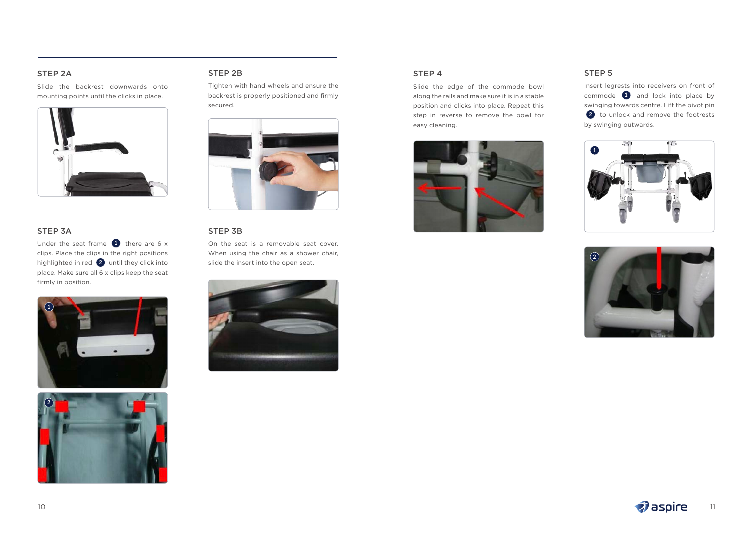### STEP 2A

Slide the backrest downwards onto mounting points until the clicks in place.



#### STEP 3A

Under the seat frame  $\bigoplus$  there are 6 x clips. Place the clips in the right positions highlighted in red  $\boxed{2}$  until they click into place. Make sure all 6 x clips keep the seat firmly in position.





#### STEP 2B

Tighten with hand wheels and ensure the backrest is properly positioned and firmly secured.



#### STEP 3B

On the seat is a removable seat cover. When using the chair as a shower chair, slide the insert into the open seat.



#### STEP 4

Slide the edge of the commode bowl along the rails and make sure it is in a stable position and clicks into place. Repeat this step in reverse to remove the bowl for easy cleaning.



#### STEP 5

Insert legrests into receivers on front of commode 1 and lock into place by swinging towards centre. Lift the pivot pin 2 to unlock and remove the footrests by swinging outwards.



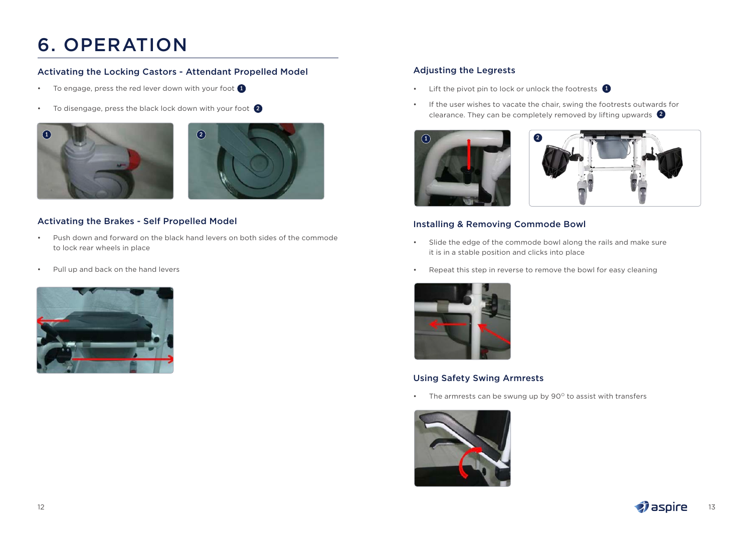# 6. OPERATION

### Activating the Locking Castors - Attendant Propelled Model

- To engage, press the red lever down with your foot **1**
- To disengage, press the black lock down with your foot 2





### Activating the Brakes - Self Propelled Model

- Push down and forward on the black hand levers on both sides of the commode to lock rear wheels in place
- Pull up and back on the hand levers



### Adjusting the Legrests

- Lift the pivot pin to lock or unlock the footrests 1
- If the user wishes to vacate the chair, swing the footrests outwards for clearance. They can be completely removed by lifting upwards 2



### Installing & Removing Commode Bowl

- Slide the edge of the commode bowl along the rails and make sure it is in a stable position and clicks into place
- Repeat this step in reverse to remove the bowl for easy cleaning



### Using Safety Swing Armrests

• The armrests can be swung up by  $90^\circ$  to assist with transfers



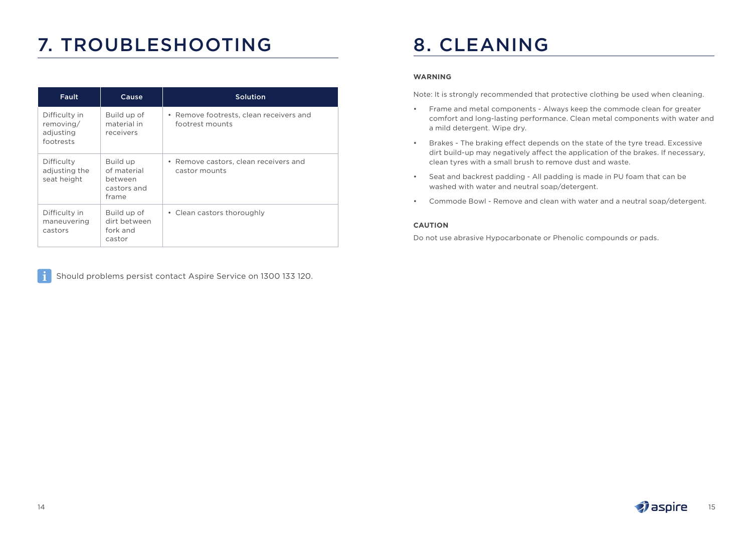# 7. TROUBLESHOOTING

| Fault                                                | Cause                                                      | Solution                                                   |  |  |  |
|------------------------------------------------------|------------------------------------------------------------|------------------------------------------------------------|--|--|--|
| Difficulty in<br>removing/<br>adjusting<br>footrests | Build up of<br>material in<br>receivers                    | • Remove footrests, clean receivers and<br>footrest mounts |  |  |  |
| Difficulty<br>adjusting the<br>seat height           | Build up<br>of material<br>between<br>castors and<br>frame | • Remove castors, clean receivers and<br>castor mounts     |  |  |  |
| Difficulty in<br>maneuvering<br>castors              | Build up of<br>dirt between<br>fork and<br>castor          | • Clean castors thoroughly                                 |  |  |  |

Should problems persist contact Aspire Service on 1300 133 120.

# 8. CLEANING

#### **WARNING**

Note: It is strongly recommended that protective clothing be used when cleaning.

- Frame and metal components Always keep the commode clean for greater comfort and long-lasting performance. Clean metal components with water and a mild detergent. Wipe dry.
- Brakes The braking effect depends on the state of the tyre tread. Excessive dirt build-up may negatively affect the application of the brakes. If necessary, clean tyres with a small brush to remove dust and waste.
- Seat and backrest padding All padding is made in PU foam that can be washed with water and neutral soap/detergent.
- Commode Bowl Remove and clean with water and a neutral soap/detergent.

#### **CAUTION**

Do not use abrasive Hypocarbonate or Phenolic compounds or pads.

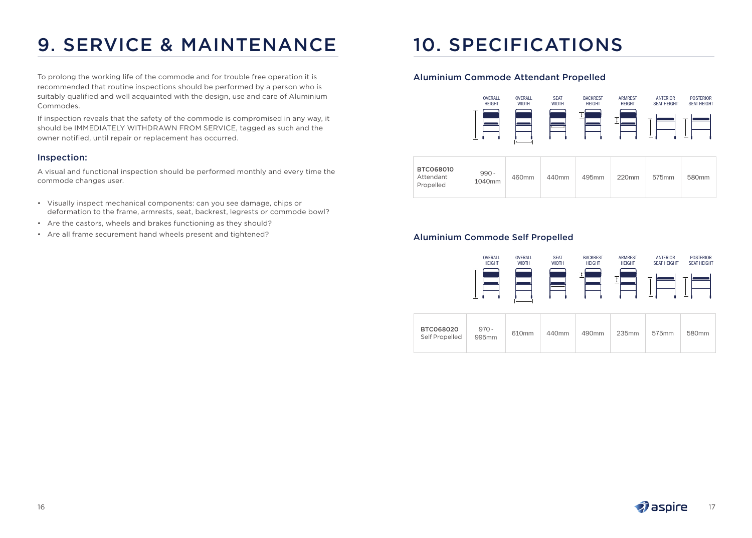# 9. SERVICE & MAINTENANCE

To prolong the working life of the commode and for trouble free operation it is recommended that routine inspections should be performed by a person who is suitably qualified and well acquainted with the design, use and care of Aluminium Commodes.

If inspection reveals that the safety of the commode is compromised in any way, it should be IMMEDIATELY WITHDRAWN FROM SERVICE, tagged as such and the owner notified, until repair or replacement has occurred.

#### Inspection:

A visual and functional inspection should be performed monthly and every time the commode changes user.

- Visually inspect mechanical components: can you see damage, chips or deformation to the frame, armrests, seat, backrest, legrests or commode bowl?
- Are the castors, wheels and brakes functioning as they should?
- Are all frame securement hand wheels present and tightened?

# 10. SPECIFICATIONS

### Aluminium Commode Attendant Propelled



|  | BTC068010<br>Attendant<br>Propelled | $990 -$<br>1040mm | 460mm | 440mm | 495mm | 220mm | 575mm | 580 <sub>mm</sub> |
|--|-------------------------------------|-------------------|-------|-------|-------|-------|-------|-------------------|
|--|-------------------------------------|-------------------|-------|-------|-------|-------|-------|-------------------|

### Aluminium Commode Self Propelled



| BTC068020<br>Self Propelled | $970 -$<br>610 <sub>mm</sub><br>995 <sub>mm</sub> | 440 <sub>mm</sub> | 490mm | 235mm | 575mm | 580 <sub>mm</sub> |  |
|-----------------------------|---------------------------------------------------|-------------------|-------|-------|-------|-------------------|--|
|-----------------------------|---------------------------------------------------|-------------------|-------|-------|-------|-------------------|--|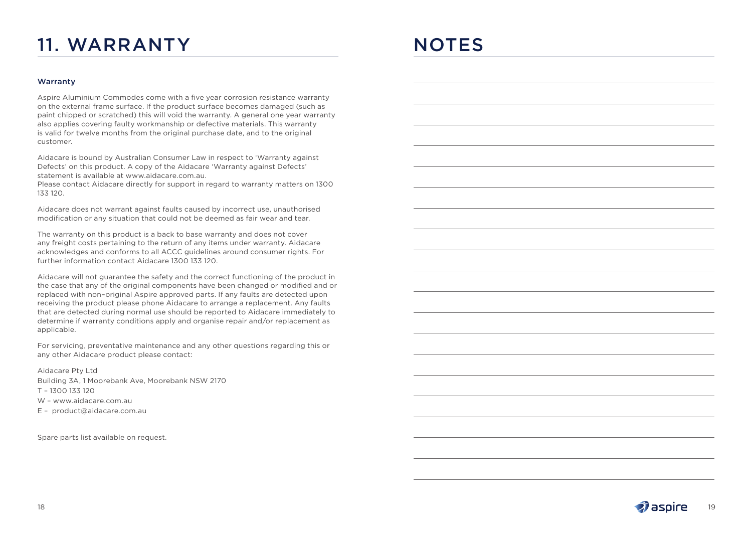# 11. WARRANTY

# **NOTES**

#### Warranty

Aspire Aluminium Commodes come with a five year corrosion resistance warranty on the external frame surface. If the product surface becomes damaged (such as paint chipped or scratched) this will void the warranty. A general one year warranty also applies covering faulty workmanship or defective materials. This warranty is valid for twelve months from the original purchase date, and to the original customer.

Aidacare is bound by Australian Consumer Law in respect to 'Warranty against Defects' on this product. A copy of the Aidacare 'Warranty against Defects' statement is available at www.aidacare.com.au.

Please contact Aidacare directly for support in regard to warranty matters on 1300 133 120.

Aidacare does not warrant against faults caused by incorrect use, unauthorised modification or any situation that could not be deemed as fair wear and tear.

The warranty on this product is a back to base warranty and does not cover any freight costs pertaining to the return of any items under warranty. Aidacare acknowledges and conforms to all ACCC guidelines around consumer rights. For further information contact Aidacare 1300 133 120.

Aidacare will not guarantee the safety and the correct functioning of the product in the case that any of the original components have been changed or modified and or replaced with non–original Aspire approved parts. If any faults are detected upon receiving the product please phone Aidacare to arrange a replacement. Any faults that are detected during normal use should be reported to Aidacare immediately to determine if warranty conditions apply and organise repair and/or replacement as applicable.

For servicing, preventative maintenance and any other questions regarding this or any other Aidacare product please contact:

Aidacare Pty Ltd Building 3A, 1 Moorebank Ave, Moorebank NSW 2170 T – 1300 133 120 W – www.aidacare.com.au E – product@aidacare.com.au

Spare parts list available on request.